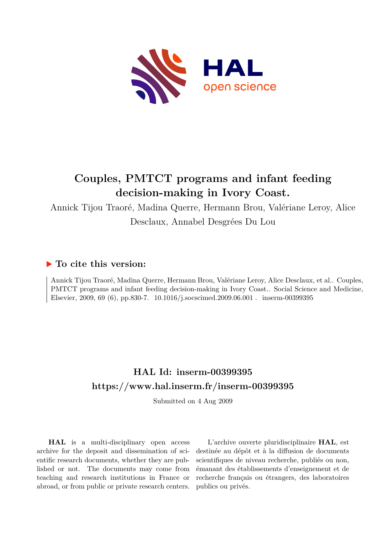

# **Couples, PMTCT programs and infant feeding decision-making in Ivory Coast.**

Annick Tijou Traoré, Madina Querre, Hermann Brou, Valériane Leroy, Alice

Desclaux, Annabel Desgrées Du Lou

## **To cite this version:**

Annick Tijou Traoré, Madina Querre, Hermann Brou, Valériane Leroy, Alice Desclaux, et al.. Couples, PMTCT programs and infant feeding decision-making in Ivory Coast.. Social Science and Medicine, Elsevier, 2009, 69 (6), pp.830-7. 10.1016/j.socscimed.2009.06.001 . inserm-00399395

# **HAL Id: inserm-00399395 <https://www.hal.inserm.fr/inserm-00399395>**

Submitted on 4 Aug 2009

**HAL** is a multi-disciplinary open access archive for the deposit and dissemination of scientific research documents, whether they are published or not. The documents may come from teaching and research institutions in France or abroad, or from public or private research centers.

L'archive ouverte pluridisciplinaire **HAL**, est destinée au dépôt et à la diffusion de documents scientifiques de niveau recherche, publiés ou non, émanant des établissements d'enseignement et de recherche français ou étrangers, des laboratoires publics ou privés.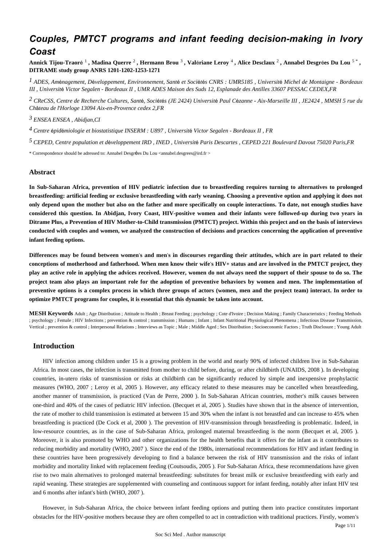## *Couples, PMTCT programs and infant feeding decision-making in Ivory Coast*

Annick Tijou-Traoré <sup>1</sup> , Madina Querre <sup>2</sup> , Hermann Brou <sup>3</sup> , Valériane Leroy <sup>4</sup> , Alice Desclaux <sup>2</sup> , Annabel Desgrées Du Lou <sup>5 \*</sup> , **DITRAME study group ANRS 1201-1202-1253-1271**

*ADES, Am nagement, D veloppement, Environnement, Sant et Soci t s 1* <sup>é</sup> <sup>é</sup> <sup>é</sup> <sup>é</sup> <sup>é</sup> *CNRS : UMR5185 , Universit*é *Michel de Montaigne - Bordeaux III , Universit*é *Victor Segalen - Bordeaux II , UMR ADES Maison des Suds 12, Esplanade des Antilles 33607 PESSAC CEDEX,FR*

*CReCSS, Centre de Recherche Cultures, Sant , Soci t s (JE 2424) 2* <sup>é</sup> <sup>é</sup> <sup>é</sup> *Universit*é *Paul C*é*zanne - Aix-Marseille III , JE2424 , MMSH 5 rue du Ch*â*teau de l*'*Horloge 13094 Aix-en-Provence cedex 2,FR*

*ENSEA 3 ENSEA , Abidjan,CI*

<sup>4</sup> Centre épidémiologie et biostatistique INSERM : U897, Université Victor Segalen - Bordeaux II, FR

*CEPED, Centre population et d veloppement 5* <sup>é</sup> *IRD , INED , Universit*é *Paris Descartes , CEPED 221 Boulevard Davout 75020 Paris,FR*

\* Correspondence should be adressed to: Annabel Desgrées Du Lou <annabel.desgrees@ird.fr >

### **Abstract**

**In Sub-Saharan Africa, prevention of HIV pediatric infection due to breastfeeding requires turning to alternatives to prolonged breastfeeding: artificial feeding or exclusive breastfeeding with early weaning. Choosing a preventive option and applying it does not only depend upon the mother but also on the father and more specifically on couple interactions. To date, not enough studies have considered this question. In Abidjan, Ivory Coast, HIV-positive women and their infants were followed-up during two years in Ditrame Plus, a Prevention of HIV Mother-to-Child transmission (PMTCT) project. Within this project and on the basis of interviews conducted with couples and women, we analyzed the construction of decisions and practices concerning the application of preventive infant feeding options.**

**Differences may be found between women**'**s and men**'**s in discourses regarding their attitudes, which are in part related to their conceptions of motherhood and fatherhood. When men know their wife**'**s HIV**+ **status and are involved in the PMTCT project, they play an active role in applying the advices received. However, women do not always need the support of their spouse to do so. The project team also plays an important role for the adoption of preventive behaviors by women and men. The implementation of preventive options is a complex process in which three groups of actors (women, men and the project team) interact. In order to optimize PMTCT programs for couples, it is essential that this dynamic be taken into account.**

**MESH Keywords** Adult ; Age Distribution ; Attitude to Health ; Breast Feeding ; psychology ; Cote d'Ivoire ; Decision Making ; Family Characteristics ; Feeding Methods ; psychology ; Female ; HIV Infections ; prevention & control ; transmission ; Humans ; Infant ; Infant Nutritional Physiological Phenomena ; Infectious Disease Transmission, Vertical ; prevention & control ; Interpersonal Relations ; Interviews as Topic ; Male ; Middle Aged ; Sex Distribution ; Socioeconomic Factors ; Truth Disclosure ; Young Adult

## **Introduction**

HIV infection among children under 15 is a growing problem in the world and nearly 90% of infected children live in Sub-Saharan Africa. In most cases, the infection is transmitted from mother to child before, during, or after childbirth (UNAIDS, 2008 ). In developing countries, in-utero risks of transmission or risks at childbirth can be significantly reduced by simple and inexpensive prophylactic measures (WHO, 2007 ; Leroy et al, 2005 ). However, any efficacy related to these measures may be cancelled when breastfeeding, another manner of transmission, is practiced (Van de Perre, 2000 ). In Sub-Saharan African countries, mother's milk causes between one-third and 40% of the cases of pediatric HIV infection. (Becquet et al, 2005 ). Studies have shown that in the absence of intervention, the rate of mother to child transmission is estimated at between 15 and 30% when the infant is not breastfed and can increase to 45% when breastfeeding is practiced (De Cock et al, 2000 ). The prevention of HIV-transmission through breastfeeding is problematic. Indeed, in low-resource countries, as in the case of Sub-Saharan Africa, prolonged maternal breastfeeding is the norm (Becquet et al, 2005 ). Moreover, it is also promoted by WHO and other organizations for the health benefits that it offers for the infant as it contributes to reducing morbidity and mortality (WHO, 2007 ). Since the end of the 1980s, international recommendations for HIV and infant feeding in these countries have been progressively developing to find a balance between the risk of HIV transmission and the risks of infant morbidity and mortality linked with replacement feeding (Coutsoudis, 2005 ). For Sub-Saharan Africa, these recommendations have given rise to two main alternatives to prolonged maternal breastfeeding: substitutes for breast milk or exclusive breastfeeding with early and rapid weaning. These strategies are supplemented with counseling and continuous support for infant feeding, notably after infant HIV test and 6 months after infant's birth (WHO, 2007 ).

However, in Sub-Saharan Africa, the choice between infant feeding options and putting them into practice constitutes important obstacles for the HIV-positive mothers because they are often compelled to act in contradiction with traditional practices. Firstly, women's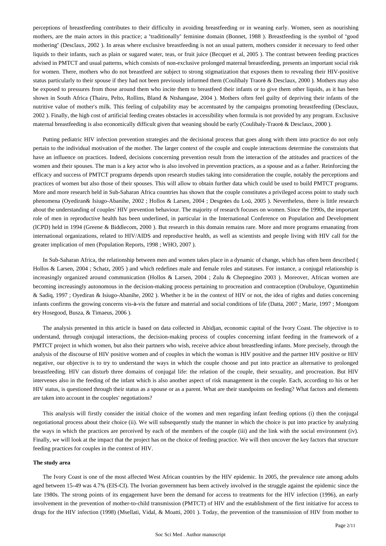perceptions of breastfeeding contributes to their difficulty in avoiding breastfeeding or in weaning early. Women, seen as nourishing mothers, are the main actors in this practice; a "traditionally" feminine domain (Bonnet, 1988 ). Breastfeeding is the symbol of "good mothering" (Desclaux, 2002 ). In areas where exclusive breastfeeding is not an usual pattern, mothers consider it necessary to feed other liquids to their infants, such as plain or sugared water, teas, or fruit juice (Becquet et al, 2005 ). The contrast between feeding practices advised in PMTCT and usual patterns, which consists of non-exclusive prolonged maternal breastfeeding, presents an important social risk for women. There, mothers who do not breastfeed are subject to strong stigmatization that exposes them to revealing their HIV-positive status particularly to their spouse if they had not been previously informed them (Coulibaly Traoré & Desclaux, 2000 ). Mothers may also be exposed to pressures from those around them who incite them to breastfeed their infants or to give them other liquids, as it has been shown in South Africa (Thairu, Pelto, Rollins, Bland & Ntshangase, 2004 ). Mothers often feel guilty of depriving their infants of the nutritive value of mother's milk. This feeling of culpability may be accentuated by the campaigns promoting breastfeeding (Desclaux, 2002 ). Finally, the high cost of artificial feeding creates obstacles in accessibility when formula is not provided by any program. Exclusive maternal breastfeeding is also economically difficult given that weaning should be early (Coulibaly-Traoré & Desclaux, 2000 ).

Putting pediatric HIV infection prevention strategies and the decisional process that goes along with them into practice do not only pertain to the individual motivation of the mother. The larger context of the couple and couple interactions determine the constraints that have an influence on practices. Indeed, decisions concerning prevention result from the interaction of the attitudes and practices of the women and their spouses. The man is a key actor who is also involved in prevention practices, as a spouse and as a father. Reinforcing the efficacy and success of PMTCT programs depends upon research studies taking into consideration the couple, notably the perceptions and practices of women but also those of their spouses. This will allow to obtain further data which could be used to build PMTCT programs. More and more research held in Sub-Saharan Africa countries has shown that the couple constitutes a privileged access point to study such phenomena (Oyediran& Isiugo-Abanihe, 2002 ; Hollos & Larsen, 2004 ; Desgrées du Loû, 2005 ). Nevertheless, there is little research about the understanding of couples' HIV prevention behaviour. The majority of research focuses on women. Since the 1990s, the important role of men in reproductive health has been underlined, in particular in the International Conference on Population and Development (ICPD) held in 1994 (Greene & Biddlecom, 2000 ). But research in this domain remains rare. More and more programs emanating from international organizations, related to HIV/AIDS and reproductive health, as well as scientists and people living with HIV call for the greater implication of men (Population Reports, 1998 ; WHO, 2007 ).

In Sub-Saharan Africa, the relationship between men and women takes place in a dynamic of change, which has often been described ( Hollos & Larsen, 2004 ; Schatz, 2005 ) and which redefines male and female roles and statuses. For instance, a conjugal relationship is increasingly organized around communication (Hollos & Larsen, 2004 ; Zulu & Chepnegino 2003 ). Moreover, African women are becoming increasingly autonomous in the decision-making process pertaining to procreation and contraception (Orubuloye, Oguntimehin & Sadiq, 1997 ; Oyediran & Isiugo-Abanihe, 2002 ). Whether it be in the context of HIV or not, the idea of rights and duties concerning infants confirms the growing concerns vis-à-vis the future and material and social conditions of life (Datta, 2007 ; Marie, 1997 ; Montgom éry Hosegood, Busza, & Timaeus, 2006 ).

The analysis presented in this article is based on data collected in Abidjan, economic capital of the Ivory Coast. The objective is to understand, through conjugal interactions, the decision-making process of couples concerning infant feeding in the framework of a PMTCT project in which women, but also their partners who wish, receive advice about breastfeeding infants. More precisely, through the analysis of the discourse of HIV positive women and of couples in which the woman is HIV positive and the partner HIV positive or HIV negative, our objective is to try to understand the ways in which the couple choose and put into practice an alternative to prolonged breastfeeding. HIV can disturb three domains of conjugal life: the relation of the couple, their sexuality, and procreation. But HIV intervenes also in the feeding of the infant which is also another aspect of risk management in the couple. Each, according to his or her HIV status, is questioned through their status as a spouse or as a parent. What are their standpoints on feeding? What factors and elements are taken into account in the couples' negotiations?

This analysis will firstly consider the initial choice of the women and men regarding infant feeding options (i) then the conjugal negotiational process about their choice (ii). We will subsequently study the manner in which the choice is put into practice by analyzing the ways in which the practices are perceived by each of the members of the couple (iii) and the link with the social environment (iv). Finally, we will look at the impact that the project has on the choice of feeding practice. We will then uncover the key factors that structure feeding practices for couples in the context of HIV.

#### **The study area**

The Ivory Coast is one of the most affected West African countries by the HIV epidemic. In 2005, the prevalence rate among adults aged between 15–49 was 4.7% (EIS-CI). The Ivorian government has been actively involved in the struggle against the epidemic since the late 1980s. The strong points of its engagement have been the demand for access to treatments for the HIV infection (1996), an early involvement in the prevention of mother-to-child transmission (PMTCT) of HIV and the establishment of the first initiative for access to drugs for the HIV infection (1998) (Msellati, Vidal, & Moatti, 2001 ). Today, the prevention of the transmission of HIV from mother to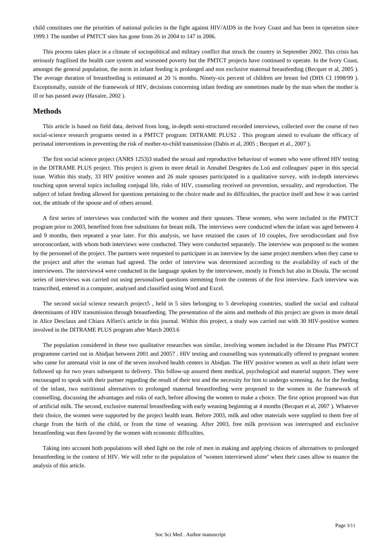child constitutes one the priorities of national policies in the fight against HIV/AIDS in the Ivory Coast and has been in operation since 1999.1 The number of PMTCT sites has gone from 26 in 2004 to 147 in 2006.

This process takes place in a climate of sociopolitical and military conflict that struck the country in September 2002. This crisis has seriously fragilised the health care system and worsened poverty but the PMTCT projects have continued to operate. In the Ivory Coast, amongst the general population, the norm in infant feeding is prolonged and non exclusive maternal breastfeeding (Becquet et al, 2005 ). The average duration of breastfeeding is estimated at 20 ½ months. Ninety-six percent of children are breast fed (DHS CI 1998/99 ). Exceptionally, outside of the framework of HIV, decisions concerning infant feeding are sometimes made by the man when the mother is ill or has passed away (Haxaire, 2002 ).

## **Methods**

This article is based on field data, derived from long, in-depth semi-structured recorded interviews, collected over the course of two social-science research programs nested in a PMTCT program: DITRAME PLUS2 . This program aimed to evaluate the efficacy of perinatal interventions in preventing the risk of mother-to-child transmission (Dabis et al, 2005 ; Becquet et al., 2007 ).

The first social science project (ANRS 1253)3 studied the sexual and reproductive behaviour of women who were offered HIV testing in the DITRAME PLUS project. This project is given in more detail in Annabel Desgrées du Loû and colleagues' paper in this special issue. Within this study, 33 HIV positive women and 26 male spouses participated in a qualitative survey, with in-depth interviews touching upon several topics including conjugal life, risks of HIV, counseling received on prevention, sexuality, and reproduction. The subject of infant feeding allowed for questions pertaining to the choice made and its difficulties, the practice itself and how it was carried out, the attitude of the spouse and of others around.

A first series of interviews was conducted with the women and their spouses. These women, who were included in the PMTCT program prior to 2003, benefited from free substitutes for breast milk. The interviews were conducted when the infant was aged between 4 and 9 months, then repeated a year later. For this analysis, we have retained the cases of 10 couples, five serodiscordant and five seroconcordant, with whom both interviews were conducted. They were conducted separately. The interview was proposed to the women by the personnel of the project. The partners were requested to participate in an interview by the same project members when they came to the project and after the woman had agreed. The order of interview was determined according to the availability of each of the interviewees. The interviews4 were conducted in the language spoken by the interviewee, mostly in French but also in Dioula. The second series of interviews was carried out using personalised questions stemming from the contents of the first interview. Each interview was transcribed, entered in a computer, analysed and classified using Word and Excel.

The second social science research project5 , held in 5 sites belonging to 5 developing countries, studied the social and cultural determinants of HIV transmission through breastfeeding. The presentation of the aims and methods of this project are given in more detail in Alice Desclaux and Chiara Alfieri's article in this journal. Within this project, a study was carried out with 30 HIV-positive women involved in the DITRAME PLUS program after March 2003.6

The population considered in these two qualitative researches was similar, involving women included in the Ditrame Plus PMTCT programme carried out in Abidjan between 2001 and 20057 . HIV testing and counselling was systematically offered to pregnant women who came for antenatal visit in one of the seven involved health centers in Abidjan. The HIV positive women as well as their infant were followed up for two years subsequent to delivery. This follow-up assured them medical, psychological and material support. They were encouraged to speak with their partner regarding the result of their test and the necessity for him to undergo screening. As for the feeding of the infant, two nutritional alternatives to prolonged maternal breastfeeding were proposed to the women in the framework of counselling, discussing the advantages and risks of each, before allowing the women to make a choice. The first option proposed was that of artificial milk. The second, exclusive maternal breastfeeding with early weaning beginning at 4 months (Becquet et al, 2007 ). Whatever their choice, the women were supported by the project health team. Before 2003, milk and other materials were supplied to them free of charge from the birth of the child, or from the time of weaning. After 2003, free milk provision was interrupted and exclusive breastfeeding was then favored by the women with economic difficulties.

Taking into account both populations will shed light on the role of men in making and applying choices of alternatives to prolonged breastfeeding in the context of HIV. We will refer to the population of "women interviewed alone" when their cases allow to nuance the analysis of this article.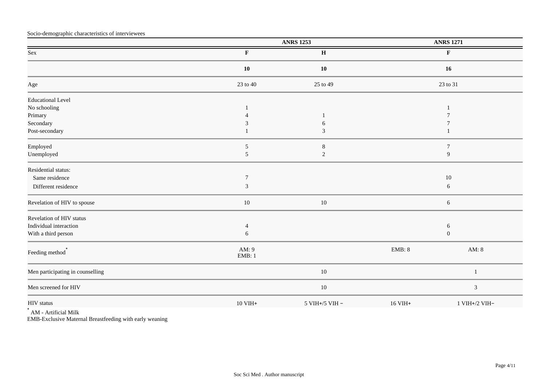## Socio-demographic characteristics of interviewees

| Sex                              | <b>ANRS 1253</b> |                | <b>ANRS 1271</b> |                |
|----------------------------------|------------------|----------------|------------------|----------------|
|                                  | $\mathbf F$      | $\, {\bf H}$   |                  | $\mathbf F$    |
|                                  | 10               | ${\bf 10}$     |                  | 16             |
| Age                              | 23 to 40         | 25 to 49       | 23 to 31         |                |
| <b>Educational Level</b>         |                  |                |                  |                |
| No schooling                     |                  |                |                  |                |
| Primary                          |                  |                |                  |                |
| Secondary                        | 3                | 6              |                  |                |
| Post-secondary                   |                  | 3              |                  |                |
| Employed                         | $\sqrt{5}$       | 8              | $7\phantom{.0}$  |                |
| Unemployed                       | $\sqrt{5}$       | $\sqrt{2}$     |                  | 9              |
| Residential status:              |                  |                |                  |                |
| Same residence                   | 7                |                | $10\,$           |                |
| Different residence              | $\mathfrak{Z}$   |                | 6                |                |
| Revelation of HIV to spouse      | 10               | 10             | $\sqrt{6}$       |                |
| Revelation of HIV status         |                  |                |                  |                |
| Individual interaction           | $\overline{4}$   |                | 6                |                |
| With a third person              | 6                |                | $\mathbf{0}$     |                |
| Feeding method <sup>*</sup>      | AM: 9<br>EMB: 1  |                | EMB: 8           | AM: 8          |
| Men participating in counselling |                  | $10\,$         |                  | $\mathbf{1}$   |
| Men screened for HIV             |                  | $10\,$         |                  | $\mathfrak{Z}$ |
| <b>HIV</b> status                | 10 VIH+          | 5 VIH+/5 VIH - | 16 VIH+          | 1 VIH+/2 VIH-  |
| $\star$<br>$\cdots$ $\cdots$     |                  |                |                  |                |

AM - Artificial Milk

EMB-Exclusive Maternal Breastfeeding with early weaning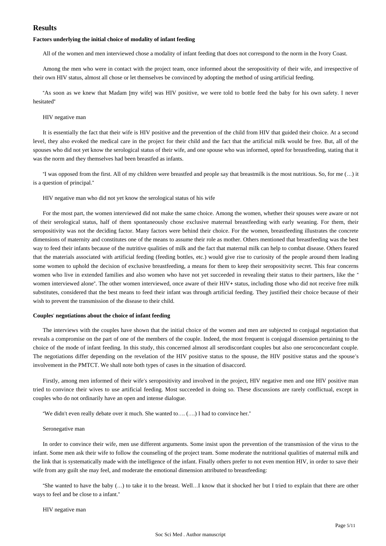## **Results**

#### **Factors underlying the initial choice of modality of infant feeding**

All of the women and men interviewed chose a modality of infant feeding that does not correspond to the norm in the Ivory Coast.

Among the men who were in contact with the project team, once informed about the seropositivity of their wife, and irrespective of their own HIV status, almost all chose or let themselves be convinced by adopting the method of using artificial feeding.

"As soon as we knew that Madam [my wife] was HIV positive, we were told to bottle feed the baby for his own safety. I never hesitated"

## HIV negative man

It is essentially the fact that their wife is HIV positive and the prevention of the child from HIV that guided their choice. At a second level, they also evoked the medical care in the project for their child and the fact that the artificial milk would be free. But, all of the spouses who did not yet know the serological status of their wife, and one spouse who was informed, opted for breastfeeding, stating that it was the norm and they themselves had been breastfed as infants.

"I was opposed from the first. All of my children were breastfed and people say that breastmilk is the most nutritious. So, for me (…) it is a question of principal."

HIV negative man who did not yet know the serological status of his wife

For the most part, the women interviewed did not make the same choice. Among the women, whether their spouses were aware or not of their serological status, half of them spontaneously chose exclusive maternal breastfeeding with early weaning. For them, their seropositivity was not the deciding factor. Many factors were behind their choice. For the women, breastfeeding illustrates the concrete dimensions of maternity and constitutes one of the means to assume their role as mother. Others mentioned that breastfeeding was the best way to feed their infants because of the nutritive qualities of milk and the fact that maternal milk can help to combat disease. Others feared that the materials associated with artificial feeding (feeding bottles, etc.) would give rise to curiosity of the people around them leading some women to uphold the decision of exclusive breastfeeding, a means for them to keep their seropositivity secret. This fear concerns women who live in extended families and also women who have not yet succeeded in revealing their status to their partners, like the " women interviewed alone". The other women interviewed, once aware of their HIV+ status, including those who did not receive free milk substitutes, considered that the best means to feed their infant was through artificial feeding. They justified their choice because of their wish to prevent the transmission of the disease to their child.

#### **Couples**' **negotiations about the choice of infant feeding**

The interviews with the couples have shown that the initial choice of the women and men are subjected to conjugal negotiation that reveals a compromise on the part of one of the members of the couple. Indeed, the most frequent is conjugal dissension pertaining to the choice of the mode of infant feeding. In this study, this concerned almost all serodiscordant couples but also one seroconcordant couple. The negotiations differ depending on the revelation of the HIV positive status to the spouse, the HIV positive status and the spouse's involvement in the PMTCT. We shall note both types of cases in the situation of disaccord.

Firstly, among men informed of their wife's seropositivity and involved in the project, HIV negative men and one HIV positive man tried to convince their wives to use artificial feeding. Most succeeded in doing so. These discussions are rarely conflictual, except in couples who do not ordinarily have an open and intense dialogue.

"We didn't even really debate over it much. She wanted to…. (….) I had to convince her."

#### Seronegative man

In order to convince their wife, men use different arguments. Some insist upon the prevention of the transmission of the virus to the infant. Some men ask their wife to follow the counseling of the project team. Some moderate the nutritional qualities of maternal milk and the link that is systematically made with the intelligence of the infant. Finally others prefer to not even mention HIV, in order to save their wife from any guilt she may feel, and moderate the emotional dimension attributed to breastfeeding:

"She wanted to have the baby (…) to take it to the breast. Well…I know that it shocked her but I tried to explain that there are other ways to feel and be close to a infant."

HIV negative man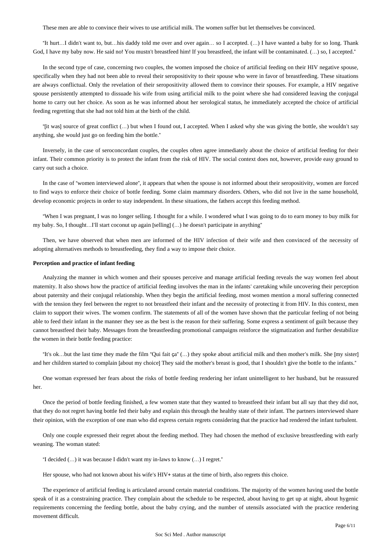These men are able to convince their wives to use artificial milk. The women suffer but let themselves be convinced.

"It hurt…I didn't want to, but…his daddy told me over and over again… so I accepted. (…) I have wanted a baby for so long. Thank God, I have my baby now. He said no! You mustn't breastfeed him! If you breastfeed, the infant will be contaminated. (...) so, I accepted."

In the second type of case, concerning two couples, the women imposed the choice of artificial feeding on their HIV negative spouse, specifically when they had not been able to reveal their seropositivity to their spouse who were in favor of breastfeeding. These situations are always conflictual. Only the revelation of their seropositivity allowed them to convince their spouses. For example, a HIV negative spouse persistently attempted to dissuade his wife from using artificial milk to the point where she had considered leaving the conjugal home to carry out her choice. As soon as he was informed about her serological status, he immediately accepted the choice of artificial feeding regretting that she had not told him at the birth of the child.

"[it was] source of great conflict (…) but when I found out, I accepted. When I asked why she was giving the bottle, she wouldn't say anything, she would just go on feeding him the bottle."

Inversely, in the case of seroconcordant couples, the couples often agree immediately about the choice of artificial feeding for their infant. Their common priority is to protect the infant from the risk of HIV. The social context does not, however, provide easy ground to carry out such a choice.

In the case of "women interviewed alone", it appears that when the spouse is not informed about their seropositivity, women are forced to find ways to enforce their choice of bottle feeding. Some claim mammary disorders. Others, who did not live in the same household, develop economic projects in order to stay independent. In these situations, the fathers accept this feeding method.

"When I was pregnant, I was no longer selling. I thought for a while. I wondered what I was going to do to earn money to buy milk for my baby. So, I thought…I'll start coconut up again [selling] (…) he doesn't participate in anything"

Then, we have observed that when men are informed of the HIV infection of their wife and then convinced of the necessity of adopting alternatives methods to breastfeeding, they find a way to impose their choice.

#### **Perception and practice of infant feeding**

Analyzing the manner in which women and their spouses perceive and manage artificial feeding reveals the way women feel about maternity. It also shows how the practice of artificial feeding involves the man in the infants' caretaking while uncovering their perception about paternity and their conjugal relationship. When they begin the artificial feeding, most women mention a moral suffering connected with the tension they feel between the regret to not breastfeed their infant and the necessity of protecting it from HIV. In this context, men claim to support their wives. The women confirm. The statements of all of the women have shown that the particular feeling of not being able to feed their infant in the manner they see as the best is the reason for their suffering. Some express a sentiment of guilt because they cannot breastfeed their baby. Messages from the breastfeeding promotional campaigns reinforce the stigmatization and further destabilize the women in their bottle feeding practice:

"It's ok…but the last time they made the film "Qui fait ça" (…) they spoke about artificial milk and then mother's milk. She [my sister] and her children started to complain [about my choice] They said the mother's breast is good, that I shouldn't give the bottle to the infants."

One woman expressed her fears about the risks of bottle feeding rendering her infant unintelligent to her husband, but he reassured her.

Once the period of bottle feeding finished, a few women state that they wanted to breastfeed their infant but all say that they did not, that they do not regret having bottle fed their baby and explain this through the healthy state of their infant. The partners interviewed share their opinion, with the exception of one man who did express certain regrets considering that the practice had rendered the infant turbulent.

Only one couple expressed their regret about the feeding method. They had chosen the method of exclusive breastfeeding with early weaning. The woman stated:

"I decided (…) it was because I didn't want my in-laws to know (…) I regret."

Her spouse, who had not known about his wife's HIV+ status at the time of birth, also regrets this choice.

The experience of artificial feeding is articulated around certain material conditions. The majority of the women having used the bottle speak of it as a constraining practice. They complain about the schedule to be respected, about having to get up at night, about hygenic requirements concerning the feeding bottle, about the baby crying, and the number of utensils associated with the practice rendering movement difficult.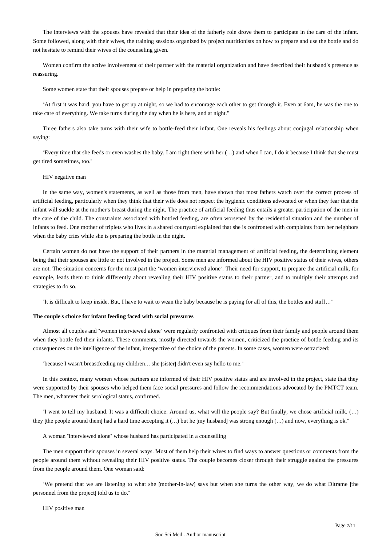The interviews with the spouses have revealed that their idea of the fatherly role drove them to participate in the care of the infant. Some followed, along with their wives, the training sessions organized by project nutritionists on how to prepare and use the bottle and do not hesitate to remind their wives of the counseling given.

Women confirm the active involvement of their partner with the material organization and have described their husband's presence as reassuring.

Some women state that their spouses prepare or help in preparing the bottle:

"At first it was hard, you have to get up at night, so we had to encourage each other to get through it. Even at 6am, he was the one to take care of everything. We take turns during the day when he is here, and at night."

Three fathers also take turns with their wife to bottle-feed their infant. One reveals his feelings about conjugal relationship when saying:

"Every time that she feeds or even washes the baby, I am right there with her (…) and when I can, I do it because I think that she must get tired sometimes, too."

#### HIV negative man

In the same way, women's statements, as well as those from men, have shown that most fathers watch over the correct process of artificial feeding, particularly when they think that their wife does not respect the hygienic conditions advocated or when they fear that the infant will suckle at the mother's breast during the night. The practice of artificial feeding thus entails a greater participation of the men in the care of the child. The constraints associated with bottled feeding, are often worsened by the residential situation and the number of infants to feed. One mother of triplets who lives in a shared courtyard explained that she is confronted with complaints from her neighbors when the baby cries while she is preparing the bottle in the night.

Certain women do not have the support of their partners in the material management of artificial feeding, the determining element being that their spouses are little or not involved in the project. Some men are informed about the HIV positive status of their wives, others are not. The situation concerns for the most part the "women interviewed alone". Their need for support, to prepare the artificial milk, for example, leads them to think differently about revealing their HIV positive status to their partner, and to multiply their attempts and strategies to do so.

"It is difficult to keep inside. But, I have to wait to wean the baby because he is paying for all of this, the bottles and stuff…"

#### **The couple**'**s choice for infant feeding faced with social pressures**

Almost all couples and "women interviewed alone" were regularly confronted with critiques from their family and people around them when they bottle fed their infants. These comments, mostly directed towards the women, criticized the practice of bottle feeding and its consequences on the intelligence of the infant, irrespective of the choice of the parents. In some cases, women were ostracized:

"because I wasn't breastfeeding my children… she [sister] didn't even say hello to me."

In this context, many women whose partners are informed of their HIV positive status and are involved in the project, state that they were supported by their spouses who helped them face social pressures and follow the recommendations advocated by the PMTCT team. The men, whatever their serological status, confirmed.

"I went to tell my husband. It was a difficult choice. Around us, what will the people say? But finally, we chose artificial milk. (…) they [the people around them] had a hard time accepting it (…) but he [my husband] was strong enough (…) and now, everything is ok."

A woman "interviewed alone" whose husband has participated in a counselling

The men support their spouses in several ways. Most of them help their wives to find ways to answer questions or comments from the people around them without revealing their HIV positive status. The couple becomes closer through their struggle against the pressures from the people around them. One woman said:

"We pretend that we are listening to what she [mother-in-law] says but when she turns the other way, we do what Ditrame [the personnel from the project] told us to do."

HIV positive man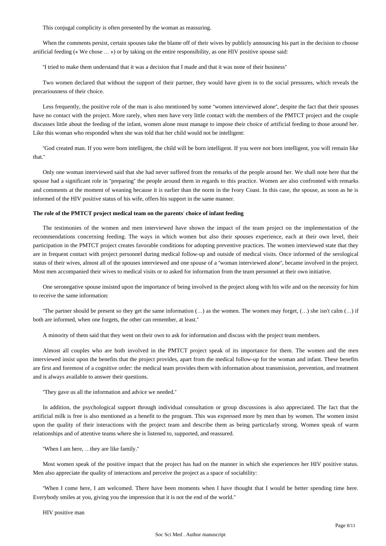This conjugal complicity is often presented by the woman as reassuring.

When the comments persist, certain spouses take the blame off of their wives by publicly announcing his part in the decision to choose artificial feeding (« We chose … ») or by taking on the entire responsibility, as one HIV positive spouse said:

"I tried to make them understand that it was a decision that I made and that it was none of their business"

Two women declared that without the support of their partner, they would have given in to the social pressures, which reveals the precariousness of their choice.

Less frequently, the positive role of the man is also mentioned by some "women interviewed alone", despite the fact that their spouses have no contact with the project. More rarely, when men have very little contact with the members of the PMTCT project and the couple discusses little about the feeding of the infant, women alone must manage to impose their choice of artificial feeding to those around her. Like this woman who responded when she was told that her child would not be intelligent:

"God created man. If you were born intelligent, the child will be born intelligent. If you were not born intelligent, you will remain like that."

Only one woman interviewed said that she had never suffered from the remarks of the people around her. We shall note here that the spouse had a significant role in "preparing" the people around them in regards to this practice. Women are also confronted with remarks and comments at the moment of weaning because it is earlier than the norm in the Ivory Coast. In this case, the spouse, as soon as he is informed of the HIV positive status of his wife, offers his support in the same manner.

#### **The role of the PMTCT project medical team on the parents**' **choice of infant feeding**

The testimonies of the women and men interviewed have shown the impact of the team project on the implementation of the recommendations concerning feeding. The ways in which women but also their spouses experience, each at their own level, their participation in the PMTCT project creates favorable conditions for adopting preventive practices. The women interviewed state that they are in frequent contact with project personnel during medical follow-up and outside of medical visits. Once informed of the serological status of their wives, almost all of the spouses interviewed and one spouse of a "woman interviewed alone", became involved in the project. Most men accompanied their wives to medical visits or to asked for information from the team personnel at their own initiative.

One seronegative spouse insisted upon the importance of being involved in the project along with his wife and on the necessity for him to receive the same information:

"The partner should be present so they get the same information (…) as the women. The women may forget, (…) she isn't calm (…) if both are informed, when one forgets, the other can remember, at least."

A minority of them said that they went on their own to ask for information and discuss with the project team members.

Almost all couples who are both involved in the PMTCT project speak of its importance for them. The women and the men interviewed insist upon the benefits that the project provides, apart from the medical follow-up for the woman and infant. These benefits are first and foremost of a cognitive order: the medical team provides them with information about transmission, prevention, and treatment and is always available to answer their questions.

"They gave us all the information and advice we needed."

In addition, the psychological support through individual consultation or group discussions is also appreciated. The fact that the artificial milk is free is also mentioned as a benefit to the program. This was expressed more by men than by women. The women insist upon the quality of their interactions with the project team and describe them as being particularly strong. Women speak of warm relationships and of attentive teams where she is listened to, supported, and reassured.

"When I am here, …they are like family."

Most women speak of the positive impact that the project has had on the manner in which she experiences her HIV positive status. Men also appreciate the quality of interactions and perceive the project as a space of sociability:

"When I come here, I am welcomed. There have been moments when I have thought that I would be better spending time here. Everybody smiles at you, giving you the impression that it is not the end of the world."

HIV positive man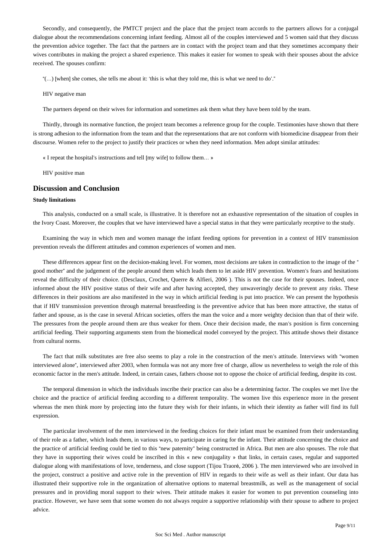Secondly, and consequently, the PMTCT project and the place that the project team accords to the partners allows for a conjugal dialogue about the recommendations concerning infant feeding. Almost all of the couples interviewed and 5 women said that they discuss the prevention advice together. The fact that the partners are in contact with the project team and that they sometimes accompany their wives contributes in making the project a shared experience. This makes it easier for women to speak with their spouses about the advice received. The spouses confirm:

"(…) [when] she comes, she tells me about it: 'this is what they told me, this is what we need to do'."

#### HIV negative man

The partners depend on their wives for information and sometimes ask them what they have been told by the team.

Thirdly, through its normative function, the project team becomes a reference group for the couple. Testimonies have shown that there is strong adhesion to the information from the team and that the representations that are not conform with biomedicine disappear from their discourse. Women refer to the project to justify their practices or when they need information. Men adopt similar attitudes:

« I repeat the hospital's instructions and tell [my wife] to follow them… »

HIV positive man

### **Discussion and Conclusion**

#### **Study limitations**

This analysis, conducted on a small scale, is illustrative. It is therefore not an exhaustive representation of the situation of couples in the Ivory Coast. Moreover, the couples that we have interviewed have a special status in that they were particularly receptive to the study.

Examining the way in which men and women manage the infant feeding options for prevention in a context of HIV transmission prevention reveals the different attitudes and common experiences of women and men.

These differences appear first on the decision-making level. For women, most decisions are taken in contradiction to the image of the " good mother" and the judgement of the people around them which leads them to let aside HIV prevention. Women's fears and hesitations reveal the difficulty of their choice. (Desclaux, Crochet, Querre & Alfieri, 2006 ). This is not the case for their spouses. Indeed, once informed about the HIV positive status of their wife and after having accepted, they unwaveringly decide to prevent any risks. These differences in their positions are also manifested in the way in which artificial feeding is put into practice. We can present the hypothesis that if HIV transmission prevention through maternal breastfeeding is the preventive advice that has been more attractive, the status of father and spouse, as is the case in several African societies, offers the man the voice and a more weighty decision than that of their wife. The pressures from the people around them are thus weaker for them. Once their decision made, the man's position is firm concerning artificial feeding. Their supporting arguments stem from the biomedical model conveyed by the project. This attitude shows their distance from cultural norms.

The fact that milk substitutes are free also seems to play a role in the construction of the men's attitude. Interviews with "women interviewed alone", interviewed after 2003, when formula was not any more free of charge, allow us nevertheless to weigh the role of this economic factor in the men's attitude. Indeed, in certain cases, fathers choose not to oppose the choice of artificial feeding, despite its cost.

The temporal dimension in which the individuals inscribe their practice can also be a determining factor. The couples we met live the choice and the practice of artificial feeding according to a different temporality. The women live this experience more in the present whereas the men think more by projecting into the future they wish for their infants, in which their identity as father will find its full expression.

The particular involvement of the men interviewed in the feeding choices for their infant must be examined from their understanding of their role as a father, which leads them, in various ways, to participate in caring for the infant. Their attitude concerning the choice and the practice of artificial feeding could be tied to this "new paternity" being constructed in Africa. But men are also spouses. The role that they have in supporting their wives could be inscribed in this « new conjugality » that links, in certain cases, regular and supported dialogue along with manifestations of love, tenderness, and close support (Tijou Traoré, 2006 ). The men interviewed who are involved in the project, construct a positive and active role in the prevention of HIV in regards to their wife as well as their infant. Our data has illustrated their supportive role in the organization of alternative options to maternal breastmilk, as well as the management of social pressures and in providing moral support to their wives. Their attitude makes it easier for women to put prevention counseling into practice. However, we have seen that some women do not always require a supportive relationship with their spouse to adhere to project advice.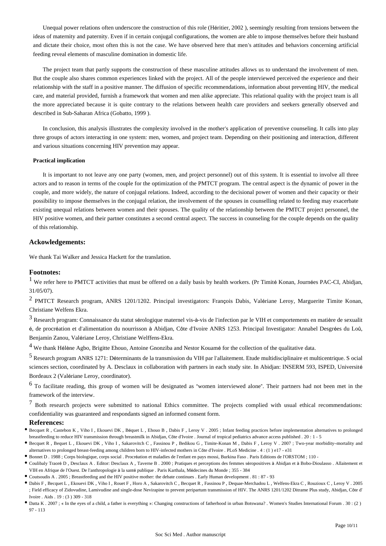Unequal power relations often underscore the construction of this role (Héritier, 2002 ), seemingly resulting from tensions between the ideas of maternity and paternity. Even if in certain conjugal configurations, the women are able to impose themselves before their husband and dictate their choice, most often this is not the case. We have observed here that men's attitudes and behaviors concerning artificial feeding reveal elements of masculine domination in domestic life.

The project team that partly supports the construction of these masculine attitudes allows us to understand the involvement of men. But the couple also shares common experiences linked with the project. All of the people interviewed perceived the experience and their relationship with the staff in a positive manner. The diffusion of specific recommendations, information about preventing HIV, the medical care, and material provided, furnish a framework that women and men alike appreciate. This relational quality with the project team is all the more appreciated because it is quite contrary to the relations between health care providers and seekers generally observed and described in Sub-Saharan Africa (Gobatto, 1999 ).

In conclusion, this analysis illustrates the complexity involved in the mother's application of preventive counseling. It calls into play three groups of actors interacting in one system: men, women, and project team. Depending on their positioning and interaction, different and various situations concerning HIV prevention may appear.

## **Practical implication**

It is important to not leave any one party (women, men, and project personnel) out of this system. It is essential to involve all three actors and to reason in terms of the couple for the optimization of the PMTCT program. The central aspect is the dynamic of power in the couple, and more widely, the nature of conjugal relations. Indeed, according to the decisional power of women and their capacity or their possibility to impose themselves in the conjugal relation, the involvement of the spouses in counselling related to feeding may exacerbate existing unequal relations between women and their spouses. The quality of the relationship between the PMTCT project personnel, the HIV positive women, and their partner constitutes a second central aspect. The success in counseling for the couple depends on the quality of this relationship.

## **Ackowledgements:**

We thank Tai Walker and Jessica Hackett for the translation.

## **Footnotes:**

<sup>1</sup> We refer here to PMTCT activities that must be offered on a daily basis by health workers. (Pr Timité Konan, Journées PAC-CI, Abidjan, 31/05/07).

<sup>2</sup> PMTCT Research program, ANRS 1201/1202. Principal investigators: François Dabis, Valériane Leroy, Marguerite Timite Konan, Christiane Welfens Ekra.

<sup>3</sup> Research program: Connaissance du statut sérologique maternel vis-à-vis de l'infection par le VIH et comportements en matière de sexualit é, de procréation et d'alimentation du nourrisson à Abidjan, Côte d'Ivoire ANRS 1253. Principal Investigator: Annabel Desgrées du Loû, Benjamin Zanou, Valériane Leroy, Christiane Welffens-Ekra.

4 We thank Hélène Agbo, Brigitte Ehouo, Antoine Gnonziba and Nestor Kouamé for the collection of the qualitative data.

5 Research program ANRS 1271: Déterminants de la transmission du VIH par l'allaitement. Etude multidisciplinaire et multicentrique. S ocial sciences section, coordinated by A. Desclaux in collaboration with partners in each study site. In Abidjan: INSERM 593, ISPED, Université Bordeaux 2 (Valériane Leroy, coordinator).

<sup>6</sup> To facilitate reading, this group of women will be designated as "women interviewed alone". Their partners had not been met in the framework of the interview.

7 Both research projects were submitted to national Ethics committee. The projects complied with usual ethical recommendations: confidentiality was guaranteed and respondants signed an informed consent form.

## **References:**

- Becquet R , Castebon K , Viho I , Ekouevi DK , Béquet L , Ehouo B , Dabis F , Leroy V . 2005 ; Infant feeding practices before implementation alternatives to prolonged breastfeeding to reduce HIV transmission through breastmilk in Abidjan, Côte d'Ivoire . Journal of tropical pediatrics advance access published . 20 : 1 - 5
- Becquet R , Bequet L , Ekouevi DK , Viho I , Sakarovitch C , Fassinou P , Bedikou G , Timite-Konan M , Dabis F , Leroy V . 2007 ; Two-year morbidity–mortality and alternatives to prolonged breast-feeding among children born to HIV-infected mothers in Côte d'Ivoire . PLoS Medicine . 4 : (1 ) e17 - e31
- Bonnet D . 1988 ; Corps biologique, corps social . Procréation et maladies de l'enfant en pays mossi, Burkina Faso . Paris Editions de l'ORSTOM ; 110 -
- Coulibaly Traoré D , Desclaux A . Editor: Desclaux A , Taverne B . 2000 ; Pratiques et perceptions des femmes séropositives à Abidjan et à Bobo-Dioulasso . Allaitement et VIH en Afrique de l'Ouest. De l'anthropologie à la santé publique . Paris Karthala, Médecines du Monde ; 355 - 384
- Coutsoudis A . 2005 ; Breastfeeding and the HIV positive mother: the debate continues . Early Human development . 81 : 87 93
- Dabis F , Becquet L , Ekouevi DK , Viho I , Rouet F , Horo A , Sakarovitch C , Becquet R , Fassinou P , Dequae-Merchadou L , Welfens-Ekra C , Rouzioux C , Leroy V . 2005 ; Field efficacy of Zidovudine, Lamivudine and single-dose Nevirapine to prevent peripartum transmission of HIV. The ANRS 1201/1202 Ditrame Plus study, Abidjan, Côte d' Ivoire . Aids . 19 : (3 ) 309 - 318
- Datta K . 2007 ; « In the eyes of a child, a father is everything »: Changing constructions of fatherhood in urban Botswana? . Women's Studies International Forum . 30 : (2 ) 97 - 113